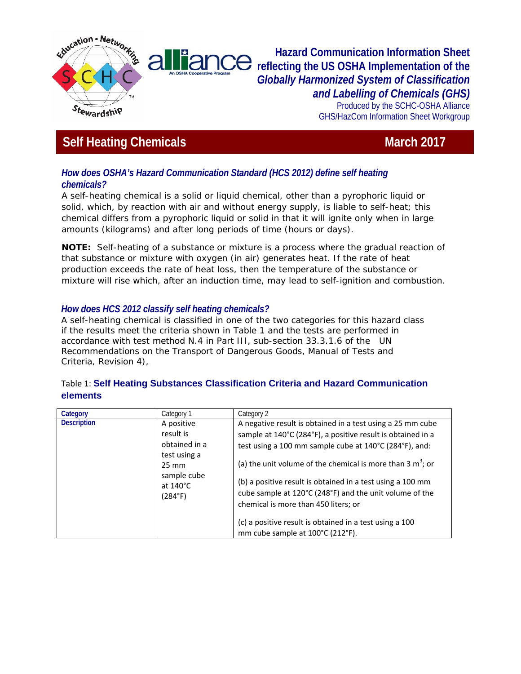

**Hazard Communication Information Sheet reflecting the US OSHA Implementation of the**  *Globally Harmonized System of Classification and Labelling of Chemicals (GHS)* 

Produced by the SCHC-OSHA Alliance GHS/HazCom Information Sheet Workgroup

# **Self Heating Chemicals March 2017** March 2017

### *How does OSHA's Hazard Communication Standard (HCS 2012) define self heating chemicals?*

A self-heating chemical is a solid or liquid chemical, other than a pyrophoric liquid or solid, which, by reaction with air and without energy supply, is liable to self-heat; this chemical differs from a pyrophoric liquid or solid in that it will ignite only when in large amounts (kilograms) and after long periods of time (hours or days).

**NOTE:** Self-heating of a substance or mixture is a process where the gradual reaction of that substance or mixture with oxygen (in air) generates heat. If the rate of heat production exceeds the rate of heat loss, then the temperature of the substance or mixture will rise which, after an induction time, may lead to self-ignition and combustion.

## *How does HCS 2012 classify self heating chemicals?*

A self-heating chemical is classified in one of the two categories for this hazard class if the results meet the criteria shown in Table 1 and the tests are performed in accordance with test method N.4 in Part III, sub-section 33.3.1.6 of the UN Recommendations on the Transport of Dangerous Goods, Manual of Tests and Criteria, Revision 4),

#### Table 1: **Self Heating Substances Classification Criteria and Hazard Communication elements**

| Category           | Category 1                                                                                                                  | Category 2                                                                                                                                                                                                                                                                                                                                                                                                                                                                                                           |
|--------------------|-----------------------------------------------------------------------------------------------------------------------------|----------------------------------------------------------------------------------------------------------------------------------------------------------------------------------------------------------------------------------------------------------------------------------------------------------------------------------------------------------------------------------------------------------------------------------------------------------------------------------------------------------------------|
| <b>Description</b> | A positive<br>result is<br>obtained in a<br>test using a<br>$25 \text{ mm}$<br>sample cube<br>at $140^{\circ}$ C<br>(284°F) | A negative result is obtained in a test using a 25 mm cube<br>sample at 140°C (284°F), a positive result is obtained in a<br>test using a 100 mm sample cube at 140°C (284°F), and:<br>(a) the unit volume of the chemical is more than 3 $m^3$ ; or<br>(b) a positive result is obtained in a test using a 100 mm<br>cube sample at 120°C (248°F) and the unit volume of the<br>chemical is more than 450 liters; or<br>(c) a positive result is obtained in a test using a 100<br>mm cube sample at 100°C (212°F). |